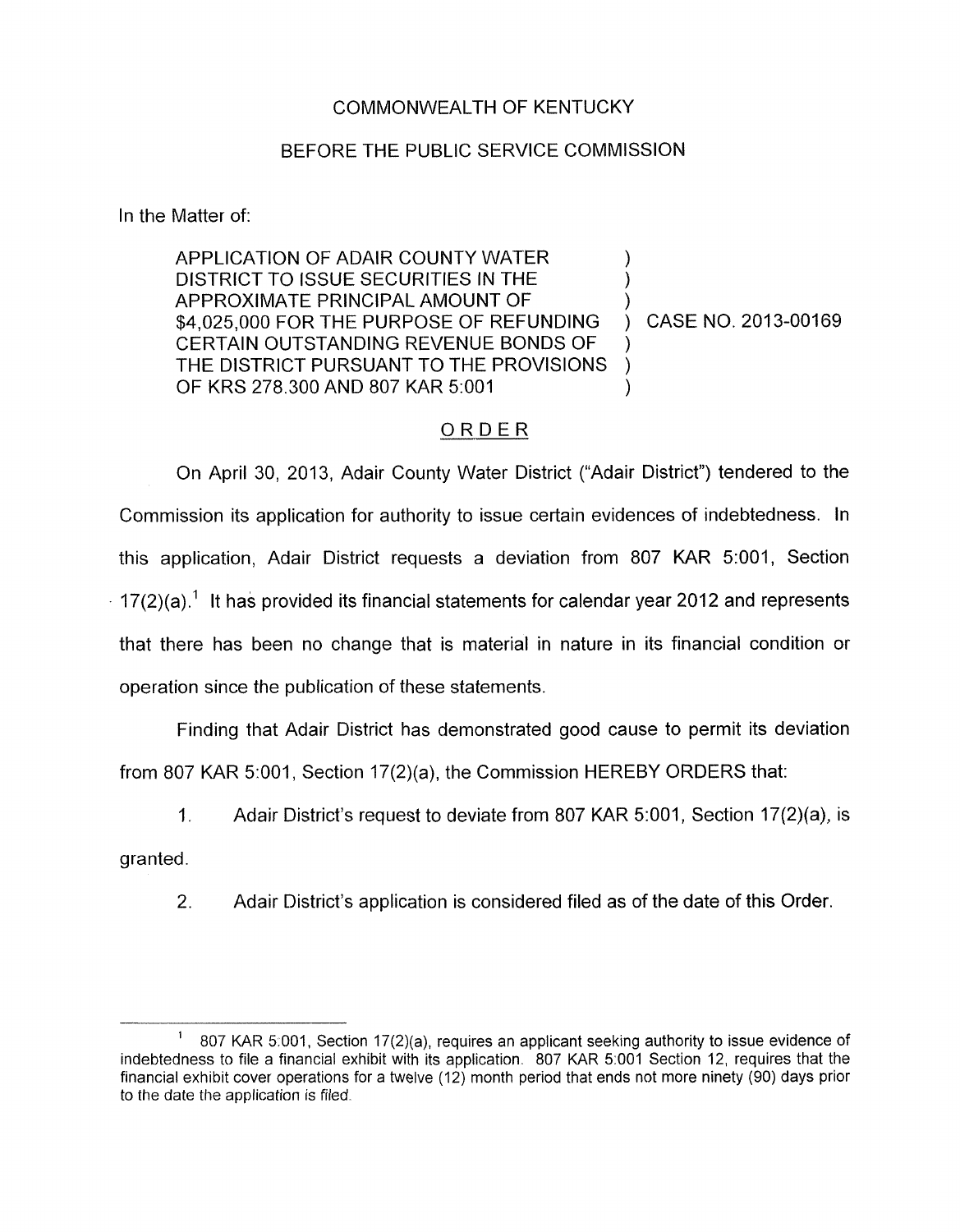## COMMONWEALTH OF KENTUCKY

## BEFORE THE PUBLIC SERVICE COMMISSION

In the Matter of:

APPLICATION OF ADAIR COUNTY WATER DISTRICT TO ISSUE SECURITIES IN THE APPROXIMATE PRINCIPAL AMOUNT OF \$4,025,000 FOR THE PURPOSE OF REFUNDING ) CASE NO. 2013-00169 CERTAIN OUTSTANDING REVENUE BONDS OF THE DISTRICT PURSUANT TO THE PROVISIONS OF KRS 278.300 AND 807 KAR 5:001

## ORDER

On April 30, 2013, Adair County Water District ("Adair District") tendered to the Commission its application for authority to issue certain evidences of indebtedness. In this application, Adair District requests a deviation from 807 KAR 5:001, Section  $17(2)(a)^{-1}$  It has provided its financial statements for calendar year 2012 and represents that there has been no change that is material in nature in its financial condition or operation since the publication of these statements.

Finding that Adair District has demonstrated good cause to permit its deviation from 807 KAR 5:001, Section 17(2)(a), the Commission HEREBY ORDERS that:

1. Adair District's request to deviate from 807 KAR 5:001, Section 17(2)(a), is

granted.

2. Adair District's application is considered filed as of the date of this Order.

<sup>807</sup> KAR 5.001, Section 17(2)(a), requires an applicant seeking authority to issue evidence of indebtedness to file a financial exhibit with its application. 807 KAR 5:001 Section 12, requires that the financial exhibit cover operations for a twelve (12) month period that ends not more ninety (90) days prior to the date the application is filed. **1**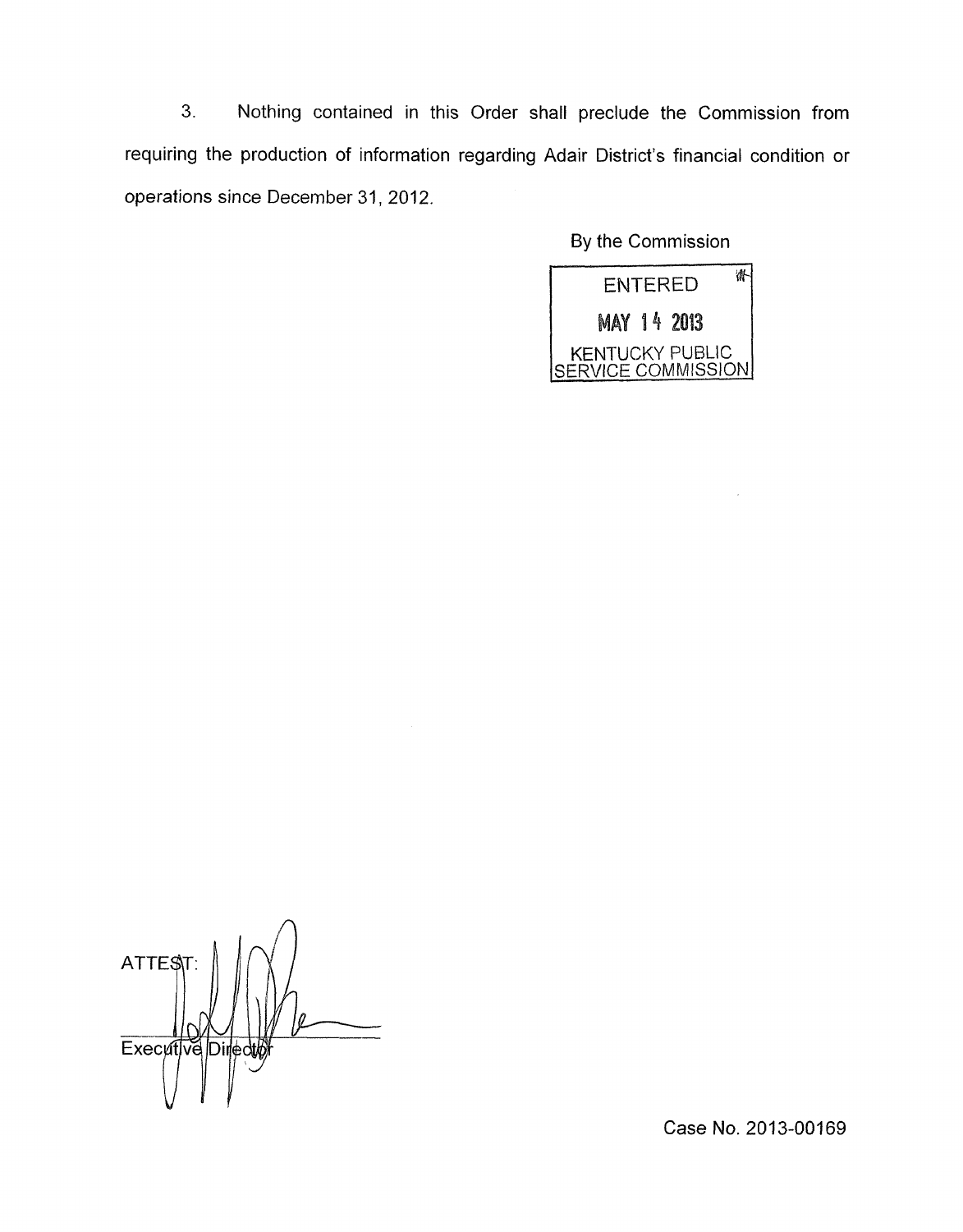**3.** Nothing contained in this Order shall preclude the Commission from requiring the production of information regarding Adair District's financial condition or operations since December 31, 2012.

By the Commission



 $\Delta$ **ATTES** ll. Executive Direct

Case **No.** 2013-00169